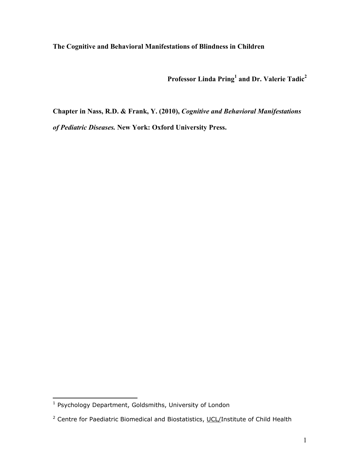**The Cognitive and Behavioral Manifestations of Blindness in Children** 

Professor Linda Pring<sup>1</sup> and Dr. Valerie Tadic<sup>2</sup>

**Chapter in Nass, R.D. & Frank, Y. (2010),** *Cognitive and Behavioral Manifestations of Pediatric Diseases.* **New York: Oxford University Press.**

<span id="page-0-0"></span> 1 Psychology Department, Goldsmiths, University of London

<span id="page-0-1"></span><sup>&</sup>lt;sup>2</sup> Centre for Paediatric Biomedical and Biostatistics, UCL/Institute of Child Health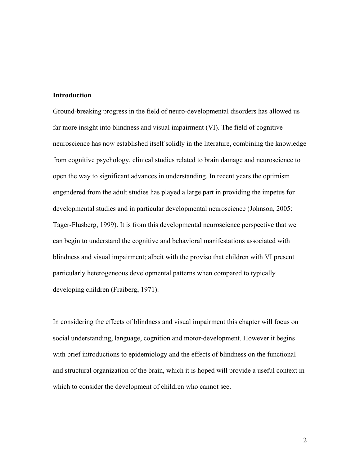### **Introduction**

Ground-breaking progress in the field of neuro-developmental disorders has allowed us far more insight into blindness and visual impairment (VI). The field of cognitive neuroscience has now established itself solidly in the literature, combining the knowledge from cognitive psychology, clinical studies related to brain damage and neuroscience to open the way to significant advances in understanding. In recent years the optimism engendered from the adult studies has played a large part in providing the impetus for developmental studies and in particular developmental neuroscience (Johnson, 2005: Tager-Flusberg, 1999). It is from this developmental neuroscience perspective that we can begin to understand the cognitive and behavioral manifestations associated with blindness and visual impairment; albeit with the proviso that children with VI present particularly heterogeneous developmental patterns when compared to typically developing children (Fraiberg, 1971).

In considering the effects of blindness and visual impairment this chapter will focus on social understanding, language, cognition and motor-development. However it begins with brief introductions to epidemiology and the effects of blindness on the functional and structural organization of the brain, which it is hoped will provide a useful context in which to consider the development of children who cannot see.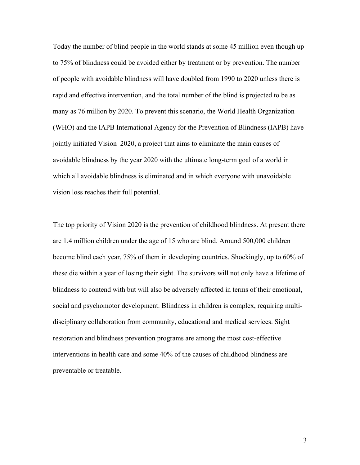Today the number of blind people in the world stands at some 45 million even though up to 75% of blindness could be avoided either by treatment or by prevention. The number of people with avoidable blindness will have doubled from 1990 to 2020 unless there is rapid and effective intervention, and the total number of the blind is projected to be as many as 76 million by 2020. To prevent this scenario, the World Health Organization (WHO) and the IAPB International Agency for the Prevention of Blindness (IAPB) have jointly initiated Vision 2020, a project that aims to eliminate the main causes of avoidable blindness by the year 2020 with the ultimate long-term goal of a world in which all avoidable blindness is eliminated and in which everyone with unavoidable vision loss reaches their full potential.

The top priority of Vision 2020 is the prevention of childhood blindness. At present there are 1.4 million children under the age of 15 who are blind. Around 500,000 children become blind each year, 75% of them in developing countries. Shockingly, up to 60% of these die within a year of losing their sight. The survivors will not only have a lifetime of blindness to contend with but will also be adversely affected in terms of their emotional, social and psychomotor development. Blindness in children is complex, requiring multidisciplinary collaboration from community, educational and medical services. Sight restoration and blindness prevention programs are among the most cost-effective interventions in health care and some 40% of the causes of childhood blindness are preventable or treatable.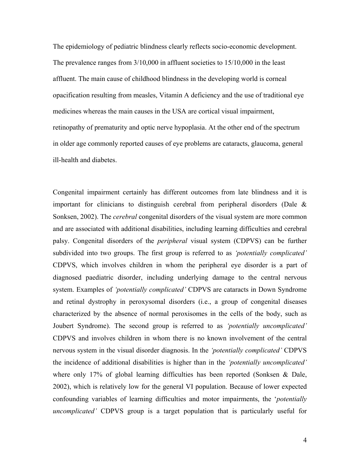The epidemiology of pediatric blindness clearly reflects socio-economic development. The prevalence ranges from 3/10,000 in affluent societies to 15/10,000 in the least affluent. The main cause of childhood blindness in the developing world is corneal opacification resulting from measles, Vitamin A deficiency and the use of traditional eye medicines whereas the main causes in the USA are cortical visual impairment, retinopathy of prematurity and optic nerve hypoplasia. At the other end of the spectrum in older age commonly reported causes of eye problems are cataracts, glaucoma, general ill-health and diabetes.

Congenital impairment certainly has different outcomes from late blindness and it is important for clinicians to distinguish cerebral from peripheral disorders (Dale & Sonksen, 2002). The *cerebral* congenital disorders of the visual system are more common and are associated with additional disabilities, including learning difficulties and cerebral palsy. Congenital disorders of the *peripheral* visual system (CDPVS) can be further subdivided into two groups. The first group is referred to as *'potentially complicated'* CDPVS, which involves children in whom the peripheral eye disorder is a part of diagnosed paediatric disorder, including underlying damage to the central nervous system. Examples of *'potentially complicated'* CDPVS are cataracts in Down Syndrome and retinal dystrophy in peroxysomal disorders (i.e., a group of congenital diseases characterized by the absence of normal peroxisomes in the cells of the body, such as Joubert Syndrome). The second group is referred to as *'potentially uncomplicated'* CDPVS and involves children in whom there is no known involvement of the central nervous system in the visual disorder diagnosis. In the *'potentially complicated'* CDPVS the incidence of additional disabilities is higher than in the *'potentially uncomplicated'* where only 17% of global learning difficulties has been reported (Sonksen & Dale, 2002), which is relatively low for the general VI population. Because of lower expected confounding variables of learning difficulties and motor impairments, the '*potentially uncomplicated'* CDPVS group is a target population that is particularly useful for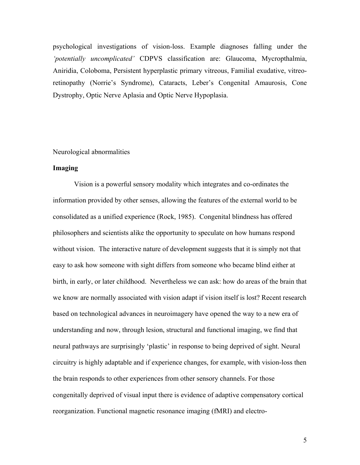psychological investigations of vision-loss. Example diagnoses falling under the *'potentially uncomplicated'* CDPVS classification are: Glaucoma, Mycropthalmia, Aniridia, Coloboma, Persistent hyperplastic primary vitreous, Familial exudative, vitreoretinopathy (Norrie's Syndrome), Cataracts, Leber's Congenital Amaurosis, Cone Dystrophy, Optic Nerve Aplasia and Optic Nerve Hypoplasia.

### Neurological abnormalities

### **Imaging**

Vision is a powerful sensory modality which integrates and co-ordinates the information provided by other senses, allowing the features of the external world to be consolidated as a unified experience (Rock, 1985). Congenital blindness has offered philosophers and scientists alike the opportunity to speculate on how humans respond without vision. The interactive nature of development suggests that it is simply not that easy to ask how someone with sight differs from someone who became blind either at birth, in early, or later childhood. Nevertheless we can ask: how do areas of the brain that we know are normally associated with vision adapt if vision itself is lost? Recent research based on technological advances in neuroimagery have opened the way to a new era of understanding and now, through lesion, structural and functional imaging, we find that neural pathways are surprisingly 'plastic' in response to being deprived of sight. Neural circuitry is highly adaptable and if experience changes, for example, with vision-loss then the brain responds to other experiences from other sensory channels. For those congenitally deprived of visual input there is evidence of adaptive compensatory cortical reorganization. Functional magnetic resonance imaging (fMRI) and electro-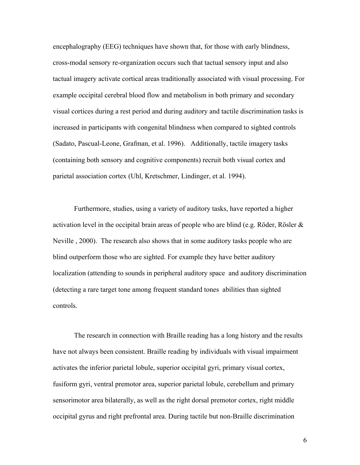encephalography (EEG) techniques have shown that, for those with early blindness, cross-modal sensory re-organization occurs such that tactual sensory input and also tactual imagery activate cortical areas traditionally associated with visual processing. For example occipital cerebral blood flow and metabolism in both primary and secondary visual cortices during a rest period and during auditory and tactile discrimination tasks is increased in participants with congenital blindness when compared to sighted controls (Sadato, Pascual-Leone, Grafman, et al. 1996). Additionally, tactile imagery tasks (containing both sensory and cognitive components) recruit both visual cortex and parietal association cortex (Uhl, Kretschmer, Lindinger, et al. 1994).

Furthermore, studies, using a variety of auditory tasks, have reported a higher activation level in the occipital brain areas of people who are blind (e.g. Röder, Rösler  $\&$ Neville , 2000). The research also shows that in some auditory tasks people who are blind outperform those who are sighted. For example they have better auditory localization (attending to sounds in peripheral auditory space and auditory discrimination (detecting a rare target tone among frequent standard tones abilities than sighted controls.

The research in connection with Braille reading has a long history and the results have not always been consistent. Braille reading by individuals with visual impairment activates the inferior parietal lobule, superior occipital gyri, primary visual cortex, fusiform gyri, ventral premotor area, superior parietal lobule, cerebellum and primary sensorimotor area bilaterally, as well as the right dorsal premotor cortex, right middle occipital gyrus and right prefrontal area. During tactile but non-Braille discrimination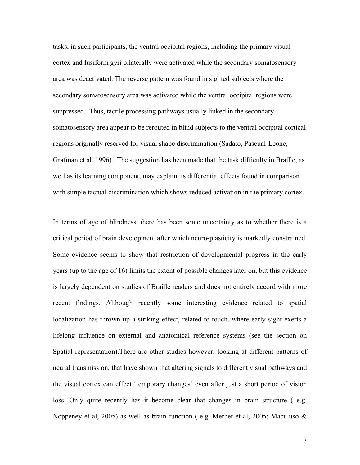tasks, in such participants, the ventral occipital regions, including the primary visual cortex and fusiform gyri bilaterally were activated while the secondary somatosensory area was deactivated. The reverse pattern was found in sighted subjects where the secondary somatosensory area was activated while the ventral occipital regions were suppressed. Thus, tactile processing pathways usually linked in the secondary somatosensory area appear to be rerouted in blind subjects to the ventral occipital cortical regions originally reserved for visual shape discrimination (Sadato, Pascual-Leone, Grafman et al. 1996). The suggestion has been made that the task difficulty in Braille, as well as its learning component, may explain its differential effects found in comparison with simple tactual discrimination which shows reduced activation in the primary cortex.

In terms of age of blindness, there has been some uncertainty as to whether there is a critical period of brain development after which neuro-plasticity is markedly constrained. Some evidence seems to show that restriction of developmental progress in the early years (up to the age of 16) limits the extent of possible changes later on, but this evidence is largely dependent on studies of Braille readers and does not entirely accord with more recent findings. Although recently some interesting evidence related to spatial localization has thrown up a striking effect, related to touch, where early sight exerts a lifelong influence on external and anatomical reference systems (see the section on Spatial representation).There are other studies however, looking at different patterns of neural transmission, that have shown that altering signals to different visual pathways and the visual cortex can effect 'temporary changes' even after just a short period of vision loss. Only quite recently has it become clear that changes in brain structure ( e.g. Noppeney et al, 2005) as well as brain function ( e.g. Merbet et al, 2005; Maculuso &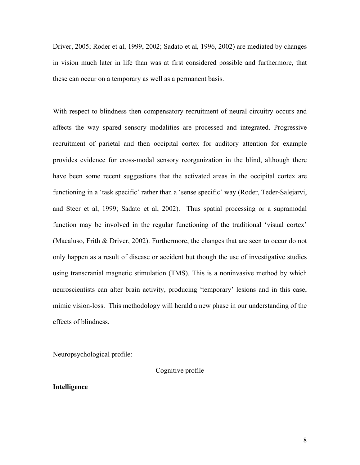Driver, 2005; Roder et al, 1999, 2002; Sadato et al, 1996, 2002) are mediated by changes in vision much later in life than was at first considered possible and furthermore, that these can occur on a temporary as well as a permanent basis.

With respect to blindness then compensatory recruitment of neural circuitry occurs and affects the way spared sensory modalities are processed and integrated. Progressive recruitment of parietal and then occipital cortex for auditory attention for example provides evidence for cross-modal sensory reorganization in the blind, although there have been some recent suggestions that the activated areas in the occipital cortex are functioning in a 'task specific' rather than a 'sense specific' way (Roder, Teder-Salejarvi, and Steer et al, 1999; Sadato et al, 2002). Thus spatial processing or a supramodal function may be involved in the regular functioning of the traditional 'visual cortex' (Macaluso, Frith & Driver, 2002). Furthermore, the changes that are seen to occur do not only happen as a result of disease or accident but though the use of investigative studies using transcranial magnetic stimulation (TMS). This is a noninvasive method by which neuroscientists can alter brain activity, producing 'temporary' lesions and in this case, mimic vision-loss. This methodology will herald a new phase in our understanding of the effects of blindness.

Neuropsychological profile:

Cognitive profile

# **Intelligence**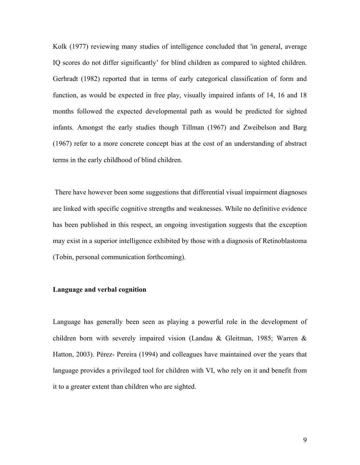Kolk (1977) reviewing many studies of intelligence concluded that 'in general, average IQ scores do not differ significantly' for blind children as compared to sighted children. Gerhradt (1982) reported that in terms of early categorical classification of form and function, as would be expected in free play, visually impaired infants of 14, 16 and 18 months followed the expected developmental path as would be predicted for sighted infants. Amongst the early studies though Tillman (1967) and Zweibelson and Barg (1967) refer to a more concrete concept bias at the cost of an understanding of abstract terms in the early childhood of blind children.

 There have however been some suggestions that differential visual impairment diagnoses are linked with specific cognitive strengths and weaknesses. While no definitive evidence has been published in this respect, an ongoing investigation suggests that the exception may exist in a superior intelligence exhibited by those with a diagnosis of Retinoblastoma (Tobin, personal communication forthcoming).

#### **Language and verbal cognition**

Language has generally been seen as playing a powerful role in the development of children born with severely impaired vision (Landau & Gleitman, 1985; Warren & Hatton, 2003). Pérez- Pereira (1994) and colleagues have maintained over the years that language provides a privileged tool for children with VI, who rely on it and benefit from it to a greater extent than children who are sighted.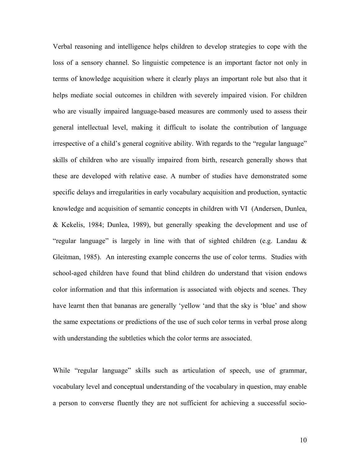Verbal reasoning and intelligence helps children to develop strategies to cope with the loss of a sensory channel. So linguistic competence is an important factor not only in terms of knowledge acquisition where it clearly plays an important role but also that it helps mediate social outcomes in children with severely impaired vision. For children who are visually impaired language-based measures are commonly used to assess their general intellectual level, making it difficult to isolate the contribution of language irrespective of a child's general cognitive ability. With regards to the "regular language" skills of children who are visually impaired from birth, research generally shows that these are developed with relative ease. A number of studies have demonstrated some specific delays and irregularities in early vocabulary acquisition and production, syntactic knowledge and acquisition of semantic concepts in children with VI (Andersen, Dunlea, & Kekelis, 1984; Dunlea, 1989), but generally speaking the development and use of "regular language" is largely in line with that of sighted children (e.g. Landau & Gleitman, 1985). An interesting example concerns the use of color terms. Studies with school-aged children have found that blind children do understand that vision endows color information and that this information is associated with objects and scenes. They have learnt then that bananas are generally 'yellow 'and that the sky is 'blue' and show the same expectations or predictions of the use of such color terms in verbal prose along with understanding the subtleties which the color terms are associated.

While "regular language" skills such as articulation of speech, use of grammar, vocabulary level and conceptual understanding of the vocabulary in question, may enable a person to converse fluently they are not sufficient for achieving a successful socio-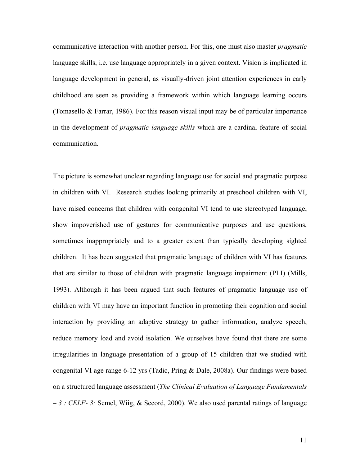communicative interaction with another person. For this, one must also master *pragmatic*  language skills, i.e. use language appropriately in a given context. Vision is implicated in language development in general, as visually-driven joint attention experiences in early childhood are seen as providing a framework within which language learning occurs (Tomasello & Farrar, 1986). For this reason visual input may be of particular importance in the development of *pragmatic language skills* which are a cardinal feature of social communication.

The picture is somewhat unclear regarding language use for social and pragmatic purpose in children with VI. Research studies looking primarily at preschool children with VI, have raised concerns that children with congenital VI tend to use stereotyped language, show impoverished use of gestures for communicative purposes and use questions, sometimes inappropriately and to a greater extent than typically developing sighted children. It has been suggested that pragmatic language of children with VI has features that are similar to those of children with pragmatic language impairment (PLI) (Mills, 1993). Although it has been argued that such features of pragmatic language use of children with VI may have an important function in promoting their cognition and social interaction by providing an adaptive strategy to gather information, analyze speech, reduce memory load and avoid isolation. We ourselves have found that there are some irregularities in language presentation of a group of 15 children that we studied with congenital VI age range 6-12 yrs (Tadic, Pring & Dale, 2008a). Our findings were based on a structured language assessment (*The Clinical Evaluation of Language Fundamentals – 3 : CELF- 3;* Semel, Wiig, & Secord, 2000). We also used parental ratings of language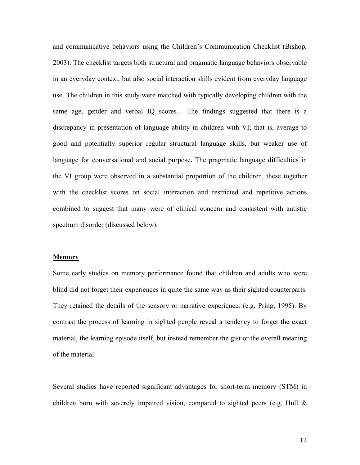and communicative behaviors using the Children's Communication Checklist (Bishop, 2003). The checklist targets both structural and pragmatic language behaviors observable in an everyday context, but also social interaction skills evident from everyday language use. The children in this study were matched with typically developing children with the same age, gender and verbal IQ scores. The findings suggested that there is a discrepancy in presentation of language ability in children with VI; that is, average to good and potentially superior regular structural language skills, but weaker use of language for conversational and social purpose**.** The pragmatic language difficulties in the VI group were observed in a substantial proportion of the children, these together with the checklist scores on social interaction and restricted and repetitive actions combined to suggest that many were of clinical concern and consistent with autistic spectrum disorder (discussed below).

#### **Memory**

Some early studies on memory performance found that children and adults who were blind did not forget their experiences in quite the same way as their sighted counterparts. They retained the details of the sensory or narrative experience. (e.g. Pring, 1995). By contrast the process of learning in sighted people reveal a tendency to forget the exact material, the learning episode itself, but instead remember the gist or the overall meaning of the material.

Several studies have reported significant advantages for short-term memory (STM) in children born with severely impaired vision, compared to sighted peers (e.g. Hull &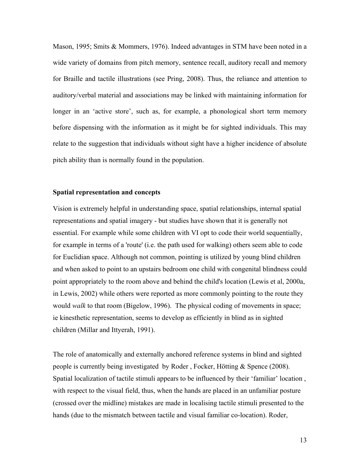Mason, 1995; Smits & Mommers, 1976). Indeed advantages in STM have been noted in a wide variety of domains from pitch memory, sentence recall, auditory recall and memory for Braille and tactile illustrations (see Pring, 2008). Thus, the reliance and attention to auditory/verbal material and associations may be linked with maintaining information for longer in an 'active store', such as, for example, a phonological short term memory before dispensing with the information as it might be for sighted individuals. This may relate to the suggestion that individuals without sight have a higher incidence of absolute pitch ability than is normally found in the population.

## **Spatial representation and concepts**

Vision is extremely helpful in understanding space, spatial relationships, internal spatial representations and spatial imagery - but studies have shown that it is generally not essential. For example while some children with VI opt to code their world sequentially, for example in terms of a 'route' (i.e. the path used for walking) others seem able to code for Euclidian space. Although not common, pointing is utilized by young blind children and when asked to point to an upstairs bedroom one child with congenital blindness could point appropriately to the room above and behind the child's location (Lewis et al, 2000a, in Lewis, 2002) while others were reported as more commonly pointing to the route they would *walk* to that room (Bigelow, 1996). The physical coding of movements in space; ie kinesthetic representation, seems to develop as efficiently in blind as in sighted children (Millar and Ittyerah, 1991).

The role of anatomically and externally anchored reference systems in blind and sighted people is currently being investigated by Roder , Focker, Hötting & Spence (2008). Spatial localization of tactile stimuli appears to be influenced by their 'familiar' location , with respect to the visual field, thus, when the hands are placed in an unfamiliar posture (crossed over the midline) mistakes are made in localising tactile stimuli presented to the hands (due to the mismatch between tactile and visual familiar co-location). Roder,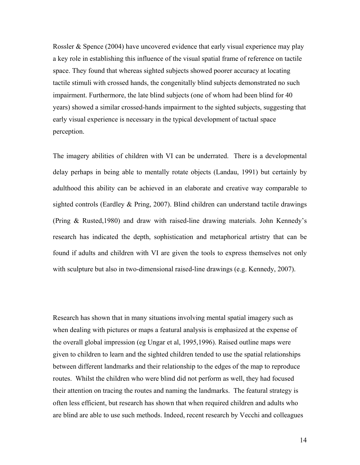Rossler  $\&$  Spence (2004) have uncovered evidence that early visual experience may play a key role in establishing this influence of the visual spatial frame of reference on tactile space. They found that whereas sighted subjects showed poorer accuracy at locating tactile stimuli with crossed hands, the congenitally blind subjects demonstrated no such impairment. Furthermore, the late blind subjects (one of whom had been blind for 40 years) showed a similar crossed-hands impairment to the sighted subjects, suggesting that early visual experience is necessary in the typical development of tactual space perception.

The imagery abilities of children with VI can be underrated. There is a developmental delay perhaps in being able to mentally rotate objects (Landau, 1991) but certainly by adulthood this ability can be achieved in an elaborate and creative way comparable to sighted controls (Eardley & Pring, 2007). Blind children can understand tactile drawings (Pring & Rusted,1980) and draw with raised-line drawing materials. John Kennedy's research has indicated the depth, sophistication and metaphorical artistry that can be found if adults and children with VI are given the tools to express themselves not only with sculpture but also in two-dimensional raised-line drawings (e.g. Kennedy, 2007).

Research has shown that in many situations involving mental spatial imagery such as when dealing with pictures or maps a featural analysis is emphasized at the expense of the overall global impression (eg Ungar et al, 1995,1996). Raised outline maps were given to children to learn and the sighted children tended to use the spatial relationships between different landmarks and their relationship to the edges of the map to reproduce routes. Whilst the children who were blind did not perform as well, they had focused their attention on tracing the routes and naming the landmarks. The featural strategy is often less efficient, but research has shown that when required children and adults who are blind are able to use such methods. Indeed, recent research by Vecchi and colleagues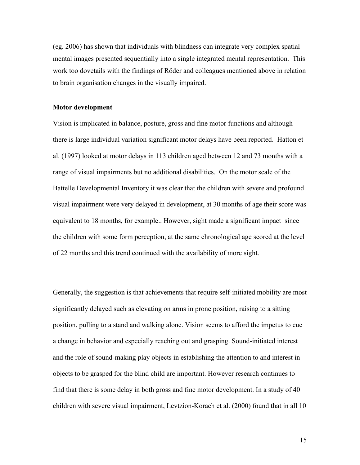(eg. 2006) has shown that individuals with blindness can integrate very complex spatial mental images presented sequentially into a single integrated mental representation. This work too dovetails with the findings of Röder and colleagues mentioned above in relation to brain organisation changes in the visually impaired.

#### **Motor development**

Vision is implicated in balance, posture, gross and fine motor functions and although there is large individual variation significant motor delays have been reported. Hatton et al. (1997) looked at motor delays in 113 children aged between 12 and 73 months with a range of visual impairments but no additional disabilities. On the motor scale of the Battelle Developmental Inventory it was clear that the children with severe and profound visual impairment were very delayed in development, at 30 months of age their score was equivalent to 18 months, for example.. However, sight made a significant impact since the children with some form perception, at the same chronological age scored at the level of 22 months and this trend continued with the availability of more sight.

Generally, the suggestion is that achievements that require self-initiated mobility are most significantly delayed such as elevating on arms in prone position, raising to a sitting position, pulling to a stand and walking alone. Vision seems to afford the impetus to cue a change in behavior and especially reaching out and grasping. Sound-initiated interest and the role of sound-making play objects in establishing the attention to and interest in objects to be grasped for the blind child are important. However research continues to find that there is some delay in both gross and fine motor development. In a study of 40 children with severe visual impairment, Levtzion-Korach et al. (2000) found that in all 10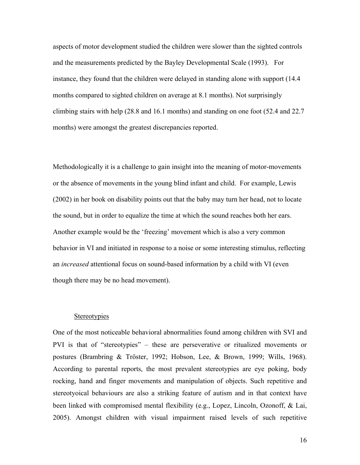aspects of motor development studied the children were slower than the sighted controls and the measurements predicted by the Bayley Developmental Scale (1993). For instance, they found that the children were delayed in standing alone with support (14.4 months compared to sighted children on average at 8.1 months). Not surprisingly climbing stairs with help (28.8 and 16.1 months) and standing on one foot (52.4 and 22.7 months) were amongst the greatest discrepancies reported.

Methodologically it is a challenge to gain insight into the meaning of motor-movements or the absence of movements in the young blind infant and child. For example, Lewis (2002) in her book on disability points out that the baby may turn her head, not to locate the sound, but in order to equalize the time at which the sound reaches both her ears. Another example would be the 'freezing' movement which is also a very common behavior in VI and initiated in response to a noise or some interesting stimulus, reflecting an *increased* attentional focus on sound-based information by a child with VI (even though there may be no head movement).

# **Stereotypies**

One of the most noticeable behavioral abnormalities found among children with SVI and PVI is that of "stereotypies" – these are perseverative or ritualized movements or postures (Brambring & Tröster, 1992; Hobson, Lee, & Brown, 1999; Wills, 1968). According to parental reports, the most prevalent stereotypies are eye poking, body rocking, hand and finger movements and manipulation of objects. Such repetitive and stereotyoical behaviours are also a striking feature of autism and in that context have been linked with compromised mental flexibility (e.g., Lopez, Lincoln, Ozonoff, & Lai, 2005). Amongst children with visual impairment raised levels of such repetitive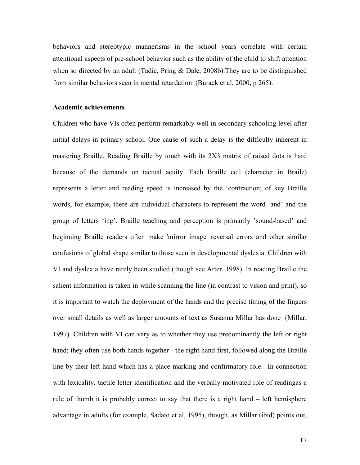behaviors and stereotypic mannerisms in the school years correlate with certain attentional aspects of pre-school behavior such as the ability of the child to shift attention when so directed by an adult (Tadic, Pring & Dale, 2008b). They are to be distinguished from similar behaviors seen in mental retardation (Burack et al, 2000, p 265).

### **Academic achievements**

Children who have VIs often perform remarkably well in secondary schooling level after initial delays in primary school. One cause of such a delay is the difficulty inherent in mastering Braille. Reading Braille by touch with its 2X3 matrix of raised dots is hard because of the demands on tactual acuity. Each Braille cell (character in Braile) represents a letter and reading speed is increased by the 'contraction; of key Braille words, for example, there are individual characters to represent the word 'and' and the group of letters 'ing'. Braille teaching and perception is primarily 'sound-based' and beginning Braille readers often make 'mirror image' reversal errors and other similar confusions of global shape similar to those seen in developmental dyslexia. Children with VI and dyslexia have rarely been studied (though see Arter, 1998). In reading Braille the salient information is taken in while scanning the line (in contrast to vision and print), so it is important to watch the deployment of the hands and the precise timing of the fingers over small details as well as larger amounts of text as Susanna Millar has done (Millar, 1997). Children with VI can vary as to whether they use predominantly the left or right hand; they often use both hands together - the right hand first, followed along the Braille line by their left hand which has a place-marking and confirmatory role. In connection with lexicality, tactile letter identification and the verbally motivated role of readingas a rule of thumb it is probably correct to say that there is a right hand – left hemisphere advantage in adults (for example, Sadato et al, 1995), though, as Millar (ibid) points out,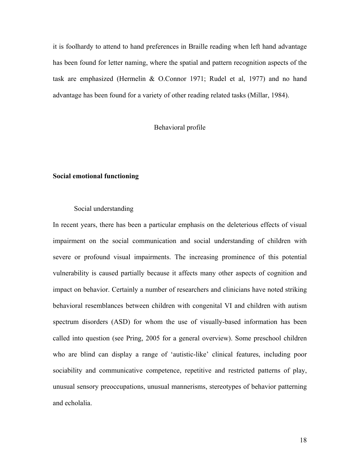it is foolhardy to attend to hand preferences in Braille reading when left hand advantage has been found for letter naming, where the spatial and pattern recognition aspects of the task are emphasized (Hermelin & O.Connor 1971; Rudel et al, 1977) and no hand advantage has been found for a variety of other reading related tasks (Millar, 1984).

# Behavioral profile

# **Social emotional functioning**

### Social understanding

In recent years, there has been a particular emphasis on the deleterious effects of visual impairment on the social communication and social understanding of children with severe or profound visual impairments. The increasing prominence of this potential vulnerability is caused partially because it affects many other aspects of cognition and impact on behavior. Certainly a number of researchers and clinicians have noted striking behavioral resemblances between children with congenital VI and children with autism spectrum disorders (ASD) for whom the use of visually-based information has been called into question (see Pring, 2005 for a general overview). Some preschool children who are blind can display a range of 'autistic-like' clinical features, including poor sociability and communicative competence, repetitive and restricted patterns of play, unusual sensory preoccupations, unusual mannerisms, stereotypes of behavior patterning and echolalia.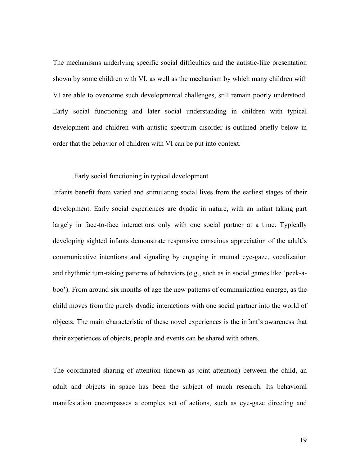The mechanisms underlying specific social difficulties and the autistic-like presentation shown by some children with VI, as well as the mechanism by which many children with VI are able to overcome such developmental challenges, still remain poorly understood. Early social functioning and later social understanding in children with typical development and children with autistic spectrum disorder is outlined briefly below in order that the behavior of children with VI can be put into context.

### Early social functioning in typical development

Infants benefit from varied and stimulating social lives from the earliest stages of their development. Early social experiences are dyadic in nature, with an infant taking part largely in face-to-face interactions only with one social partner at a time. Typically developing sighted infants demonstrate responsive conscious appreciation of the adult's communicative intentions and signaling by engaging in mutual eye-gaze, vocalization and rhythmic turn-taking patterns of behaviors (e.g., such as in social games like 'peek-aboo'). From around six months of age the new patterns of communication emerge, as the child moves from the purely dyadic interactions with one social partner into the world of objects. The main characteristic of these novel experiences is the infant's awareness that their experiences of objects, people and events can be shared with others.

The coordinated sharing of attention (known as joint attention) between the child, an adult and objects in space has been the subject of much research. Its behavioral manifestation encompasses a complex set of actions, such as eye-gaze directing and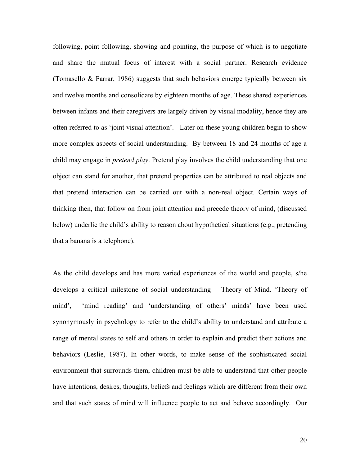following, point following, showing and pointing, the purpose of which is to negotiate and share the mutual focus of interest with a social partner. Research evidence (Tomasello & Farrar, 1986) suggests that such behaviors emerge typically between six and twelve months and consolidate by eighteen months of age. These shared experiences between infants and their caregivers are largely driven by visual modality, hence they are often referred to as 'joint visual attention'. Later on these young children begin to show more complex aspects of social understanding. By between 18 and 24 months of age a child may engage in *pretend play*. Pretend play involves the child understanding that one object can stand for another, that pretend properties can be attributed to real objects and that pretend interaction can be carried out with a non-real object. Certain ways of thinking then, that follow on from joint attention and precede theory of mind, (discussed below) underlie the child's ability to reason about hypothetical situations (e.g., pretending that a banana is a telephone).

As the child develops and has more varied experiences of the world and people, s/he develops a critical milestone of social understanding – Theory of Mind. 'Theory of mind', 'mind reading' and 'understanding of others' minds' have been used synonymously in psychology to refer to the child's ability to understand and attribute a range of mental states to self and others in order to explain and predict their actions and behaviors (Leslie, 1987). In other words, to make sense of the sophisticated social environment that surrounds them, children must be able to understand that other people have intentions, desires, thoughts, beliefs and feelings which are different from their own and that such states of mind will influence people to act and behave accordingly. Our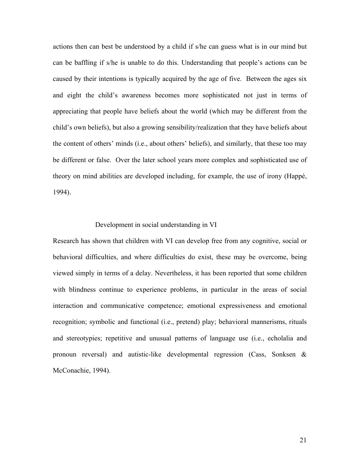actions then can best be understood by a child if s/he can guess what is in our mind but can be baffling if s/he is unable to do this. Understanding that people's actions can be caused by their intentions is typically acquired by the age of five. Between the ages six and eight the child's awareness becomes more sophisticated not just in terms of appreciating that people have beliefs about the world (which may be different from the child's own beliefs), but also a growing sensibility/realization that they have beliefs about the content of others' minds (i.e., about others' beliefs), and similarly, that these too may be different or false. Over the later school years more complex and sophisticated use of theory on mind abilities are developed including, for example, the use of irony (Happé, 1994).

### Development in social understanding in VI

Research has shown that children with VI can develop free from any cognitive, social or behavioral difficulties, and where difficulties do exist, these may be overcome, being viewed simply in terms of a delay. Nevertheless, it has been reported that some children with blindness continue to experience problems, in particular in the areas of social interaction and communicative competence; emotional expressiveness and emotional recognition; symbolic and functional (i.e., pretend) play; behavioral mannerisms, rituals and stereotypies; repetitive and unusual patterns of language use (i.e., echolalia and pronoun reversal) and autistic-like developmental regression (Cass, Sonksen & McConachie, 1994).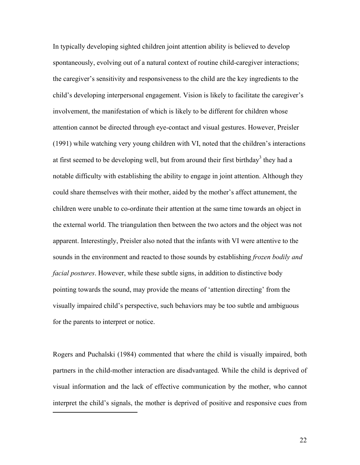In typically developing sighted children joint attention ability is believed to develop spontaneously, evolving out of a natural context of routine child-caregiver interactions; the caregiver's sensitivity and responsiveness to the child are the key ingredients to the child's developing interpersonal engagement. Vision is likely to facilitate the caregiver's involvement, the manifestation of which is likely to be different for children whose attention cannot be directed through eye-contact and visual gestures. However, Preisler (1991) while watching very young children with VI, noted that the children's interactions at first seemed to be developing well, but from around their first birthday<sup>3</sup> they had a notable difficulty with establishing the ability to engage in joint attention. Although they could share themselves with their mother, aided by the mother's affect attunement, the children were unable to co-ordinate their attention at the same time towards an object in the external world. The triangulation then between the two actors and the object was not apparent. Interestingly, Preisler also noted that the infants with VI were attentive to the sounds in the environment and reacted to those sounds by establishing *frozen bodily and facial postures*. However, while these subtle signs, in addition to distinctive body pointing towards the sound, may provide the means of 'attention directing' from the visually impaired child's perspective, such behaviors may be too subtle and ambiguous for the parents to interpret or notice.

Rogers and Puchalski (1984) commented that where the child is visually impaired, both partners in the child-mother interaction are disadvantaged. While the child is deprived of visual information and the lack of effective communication by the mother, who cannot interpret the child's signals, the mother is deprived of positive and responsive cues from

<span id="page-21-0"></span> $\overline{a}$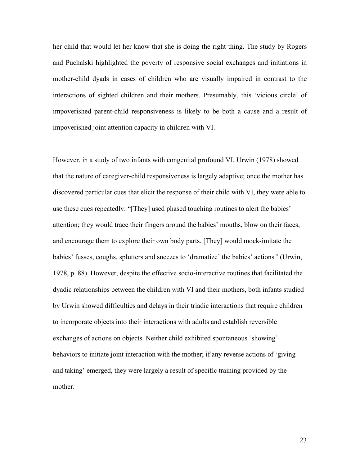her child that would let her know that she is doing the right thing. The study by Rogers and Puchalski highlighted the poverty of responsive social exchanges and initiations in mother-child dyads in cases of children who are visually impaired in contrast to the interactions of sighted children and their mothers. Presumably, this 'vicious circle' of impoverished parent-child responsiveness is likely to be both a cause and a result of impoverished joint attention capacity in children with VI.

However, in a study of two infants with congenital profound VI, Urwin (1978) showed that the nature of caregiver-child responsiveness is largely adaptive; once the mother has discovered particular cues that elicit the response of their child with VI, they were able to use these cues repeatedly: "[They] used phased touching routines to alert the babies' attention; they would trace their fingers around the babies' mouths, blow on their faces, and encourage them to explore their own body parts. [They] would mock-imitate the babies' fusses, coughs, splutters and sneezes to 'dramatize' the babies' actions*"* (Urwin, 1978, p. 88). However, despite the effective socio-interactive routines that facilitated the dyadic relationships between the children with VI and their mothers, both infants studied by Urwin showed difficulties and delays in their triadic interactions that require children to incorporate objects into their interactions with adults and establish reversible exchanges of actions on objects. Neither child exhibited spontaneous 'showing' behaviors to initiate joint interaction with the mother; if any reverse actions of 'giving and taking' emerged, they were largely a result of specific training provided by the mother.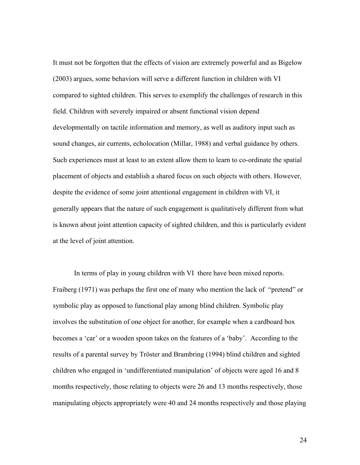It must not be forgotten that the effects of vision are extremely powerful and as Bigelow (2003) argues, some behaviors will serve a different function in children with VI compared to sighted children. This serves to exemplify the challenges of research in this field. Children with severely impaired or absent functional vision depend developmentally on tactile information and memory, as well as auditory input such as sound changes, air currents, echolocation (Millar, 1988) and verbal guidance by others. Such experiences must at least to an extent allow them to learn to co-ordinate the spatial placement of objects and establish a shared focus on such objects with others. However, despite the evidence of some joint attentional engagement in children with VI, it generally appears that the nature of such engagement is qualitatively different from what is known about joint attention capacity of sighted children, and this is particularly evident at the level of joint attention.

In terms of play in young children with VI there have been mixed reports. Fraiberg (1971) was perhaps the first one of many who mention the lack of "pretend" or symbolic play as opposed to functional play among blind children. Symbolic play involves the substitution of one object for another, for example when a cardboard box becomes a 'car' or a wooden spoon takes on the features of a 'baby'. According to the results of a parental survey by Tröster and Brambring (1994) blind children and sighted children who engaged in 'undifferentiated manipulation' of objects were aged 16 and 8 months respectively, those relating to objects were 26 and 13 months respectively, those manipulating objects appropriately were 40 and 24 months respectively and those playing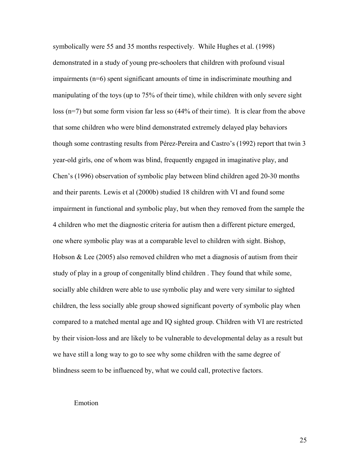symbolically were 55 and 35 months respectively. While Hughes et al. (1998) demonstrated in a study of young pre-schoolers that children with profound visual impairments (n=6) spent significant amounts of time in indiscriminate mouthing and manipulating of the toys (up to 75% of their time), while children with only severe sight loss (n=7) but some form vision far less so (44% of their time). It is clear from the above that some children who were blind demonstrated extremely delayed play behaviors though some contrasting results from Pérez-Pereira and Castro's (1992) report that twin 3 year-old girls, one of whom was blind, frequently engaged in imaginative play, and Chen's (1996) observation of symbolic play between blind children aged 20-30 months and their parents. Lewis et al (2000b) studied 18 children with VI and found some impairment in functional and symbolic play, but when they removed from the sample the 4 children who met the diagnostic criteria for autism then a different picture emerged, one where symbolic play was at a comparable level to children with sight. Bishop, Hobson & Lee  $(2005)$  also removed children who met a diagnosis of autism from their study of play in a group of congenitally blind children . They found that while some, socially able children were able to use symbolic play and were very similar to sighted children, the less socially able group showed significant poverty of symbolic play when compared to a matched mental age and IQ sighted group. Children with VI are restricted by their vision-loss and are likely to be vulnerable to developmental delay as a result but we have still a long way to go to see why some children with the same degree of blindness seem to be influenced by, what we could call, protective factors.

#### Emotion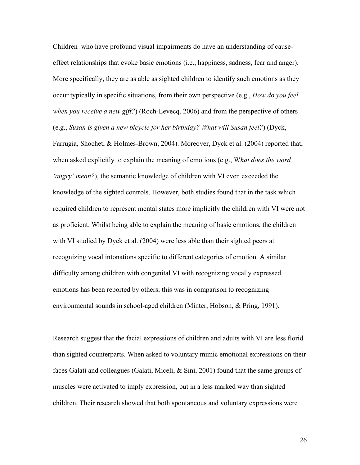Children who have profound visual impairments do have an understanding of causeeffect relationships that evoke basic emotions (i.e., happiness, sadness, fear and anger). More specifically, they are as able as sighted children to identify such emotions as they occur typically in specific situations, from their own perspective (e.g., *How do you feel when you receive a new gift?*) (Roch-Levecq, 2006) and from the perspective of others (e.g., *Susan is given a new bicycle for her birthday? What will Susan feel?*) (Dyck,

Farrugia, Shochet, & Holmes-Brown, 2004). Moreover, Dyck et al. (2004) reported that, when asked explicitly to explain the meaning of emotions (e.g., W*hat does the word 'angry' mean?*), the semantic knowledge of children with VI even exceeded the knowledge of the sighted controls. However, both studies found that in the task which required children to represent mental states more implicitly the children with VI were not as proficient. Whilst being able to explain the meaning of basic emotions, the children with VI studied by Dyck et al. (2004) were less able than their sighted peers at recognizing vocal intonations specific to different categories of emotion. A similar difficulty among children with congenital VI with recognizing vocally expressed emotions has been reported by others; this was in comparison to recognizing environmental sounds in school-aged children (Minter, Hobson, & Pring, 1991).

Research suggest that the facial expressions of children and adults with VI are less florid than sighted counterparts. When asked to voluntary mimic emotional expressions on their faces Galati and colleagues (Galati, Miceli, & Sini, 2001) found that the same groups of muscles were activated to imply expression, but in a less marked way than sighted children. Their research showed that both spontaneous and voluntary expressions were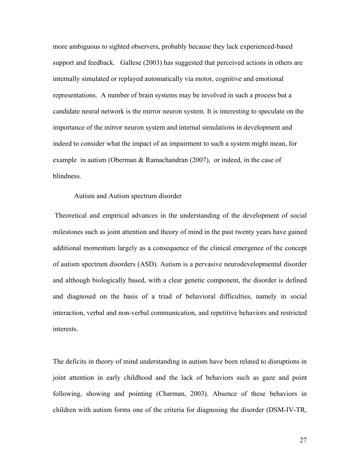more ambiguous to sighted observers, probably because they lack experienced-based support and feedback. Gallese (2003) has suggested that perceived actions in others are internally simulated or replayed automatically via motor, cognitive and emotional representations. A number of brain systems may be involved in such a process but a candidate neural network is the mirror neuron system. It is interesting to speculate on the importance of the mirror neuron system and internal simulations in development and indeed to consider what the impact of an impairment to such a system might mean, for example in autism (Oberman & Ramachandran (2007), or indeed, in the case of blindness.

### Autism and Autism spectrum disorder

Theoretical and empirical advances in the understanding of the development of social milestones such as joint attention and theory of mind in the past twenty years have gained additional momentum largely as a consequence of the clinical emergence of the concept of autism spectrum disorders (ASD). Autism is a pervasive neurodevelopmental disorder and although biologically based, with a clear genetic component, the disorder is defined and diagnosed on the basis of a triad of behavioral difficulties, namely in social interaction, verbal and non-verbal communication, and repetitive behaviors and restricted interests.

The deficits in theory of mind understanding in autism have been related to disruptions in joint attention in early childhood and the lack of behaviors such as gaze and point following, showing and pointing (Charman, 2003). Absence of these behaviors in children with autism forms one of the criteria for diagnosing the disorder (DSM-IV-TR,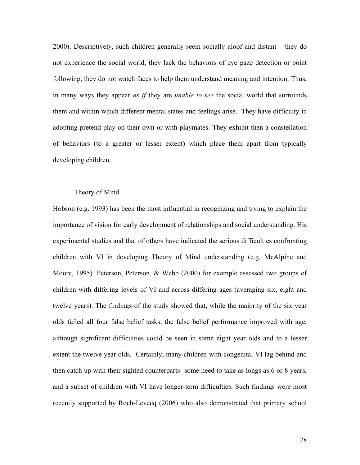2000). Descriptively, such children generally seem socially aloof and distant – they do not experience the social world, they lack the behaviors of eye gaze detection or point following, they do not watch faces to help them understand meaning and intention. Thus, in many ways they appear *as if* they are *unable to see* the social world that surrounds them and within which different mental states and feelings arise. They have difficulty in adopting pretend play on their own or with playmates. They exhibit then a constellation of behaviors (to a greater or lesser extent) which place them apart from typically developing children.

### Theory of Mind

Hobson (e.g. 1993) has been the most influential in recognizing and trying to explain the importance of vision for early development of relationships and social understanding. His experimental studies and that of others have indicated the serious difficulties confronting children with VI in developing Theory of Mind understanding (e.g. McAlpine and Moore, 1995). Peterson, Peterson, & Webb (2000) for example assessed two groups of children with differing levels of VI and across differing ages (averaging six, eight and twelve years). The findings of the study showed that, while the majority of the six year olds failed all four false belief tasks, the false belief performance improved with age, although significant difficulties could be seen in some eight year olds and to a lesser extent the twelve year olds. Certainly, many children with congenital VI lag behind and then catch up with their sighted counterparts- some need to take as longs as 6 or 8 years, and a subset of children with VI have longer-term difficulties. Such findings were most recently supported by Roch-Levecq (2006) who also demonstrated that primary school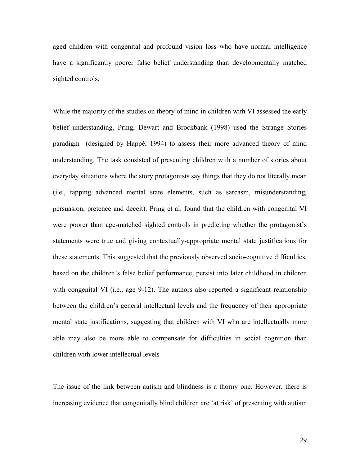aged children with congenital and profound vision loss who have normal intelligence have a significantly poorer false belief understanding than developmentally matched sighted controls.

While the majority of the studies on theory of mind in children with VI assessed the early belief understanding, Pring, Dewart and Brockbank (1998) used the Strange Stories paradigm (designed by Happé, 1994) to assess their more advanced theory of mind understanding. The task consisted of presenting children with a number of stories about everyday situations where the story protagonists say things that they do not literally mean (i.e., tapping advanced mental state elements, such as sarcasm, misunderstanding, persuasion, pretence and deceit). Pring et al. found that the children with congenital VI were poorer than age-matched sighted controls in predicting whether the protagonist's statements were true and giving contextually-appropriate mental state justifications for these statements. This suggested that the previously observed socio-cognitive difficulties, based on the children's false belief performance, persist into later childhood in children with congenital VI (i.e., age 9-12). The authors also reported a significant relationship between the children's general intellectual levels and the frequency of their appropriate mental state justifications, suggesting that children with VI who are intellectually more able may also be more able to compensate for difficulties in social cognition than children with lower intellectual levels

The issue of the link between autism and blindness is a thorny one. However, there is increasing evidence that congenitally blind children are 'at risk' of presenting with autism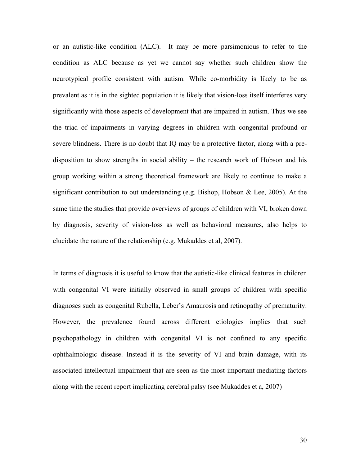or an autistic-like condition (ALC). It may be more parsimonious to refer to the condition as ALC because as yet we cannot say whether such children show the neurotypical profile consistent with autism. While co-morbidity is likely to be as prevalent as it is in the sighted population it is likely that vision-loss itself interferes very significantly with those aspects of development that are impaired in autism. Thus we see the triad of impairments in varying degrees in children with congenital profound or severe blindness. There is no doubt that IQ may be a protective factor, along with a predisposition to show strengths in social ability – the research work of Hobson and his group working within a strong theoretical framework are likely to continue to make a significant contribution to out understanding (e.g. Bishop, Hobson & Lee, 2005). At the same time the studies that provide overviews of groups of children with VI, broken down by diagnosis, severity of vision-loss as well as behavioral measures, also helps to elucidate the nature of the relationship (e.g. Mukaddes et al, 2007).

In terms of diagnosis it is useful to know that the autistic-like clinical features in children with congenital VI were initially observed in small groups of children with specific diagnoses such as congenital Rubella, Leber's Amaurosis and retinopathy of prematurity. However, the prevalence found across different etiologies implies that such psychopathology in children with congenital VI is not confined to any specific ophthalmologic disease. Instead it is the severity of VI and brain damage, with its associated intellectual impairment that are seen as the most important mediating factors along with the recent report implicating cerebral palsy (see Mukaddes et a, 2007)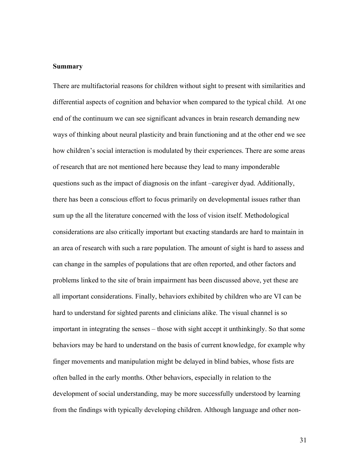#### **Summary**

There are multifactorial reasons for children without sight to present with similarities and differential aspects of cognition and behavior when compared to the typical child. At one end of the continuum we can see significant advances in brain research demanding new ways of thinking about neural plasticity and brain functioning and at the other end we see how children's social interaction is modulated by their experiences. There are some areas of research that are not mentioned here because they lead to many imponderable questions such as the impact of diagnosis on the infant –caregiver dyad. Additionally, there has been a conscious effort to focus primarily on developmental issues rather than sum up the all the literature concerned with the loss of vision itself. Methodological considerations are also critically important but exacting standards are hard to maintain in an area of research with such a rare population. The amount of sight is hard to assess and can change in the samples of populations that are often reported, and other factors and problems linked to the site of brain impairment has been discussed above, yet these are all important considerations. Finally, behaviors exhibited by children who are VI can be hard to understand for sighted parents and clinicians alike. The visual channel is so important in integrating the senses – those with sight accept it unthinkingly. So that some behaviors may be hard to understand on the basis of current knowledge, for example why finger movements and manipulation might be delayed in blind babies, whose fists are often balled in the early months. Other behaviors, especially in relation to the development of social understanding, may be more successfully understood by learning from the findings with typically developing children. Although language and other non-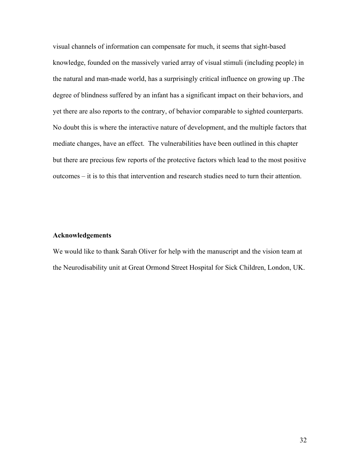visual channels of information can compensate for much, it seems that sight-based knowledge, founded on the massively varied array of visual stimuli (including people) in the natural and man-made world, has a surprisingly critical influence on growing up .The degree of blindness suffered by an infant has a significant impact on their behaviors, and yet there are also reports to the contrary, of behavior comparable to sighted counterparts. No doubt this is where the interactive nature of development, and the multiple factors that mediate changes, have an effect. The vulnerabilities have been outlined in this chapter but there are precious few reports of the protective factors which lead to the most positive outcomes – it is to this that intervention and research studies need to turn their attention.

#### **Acknowledgements**

We would like to thank Sarah Oliver for help with the manuscript and the vision team at the Neurodisability unit at Great Ormond Street Hospital for Sick Children, London, UK.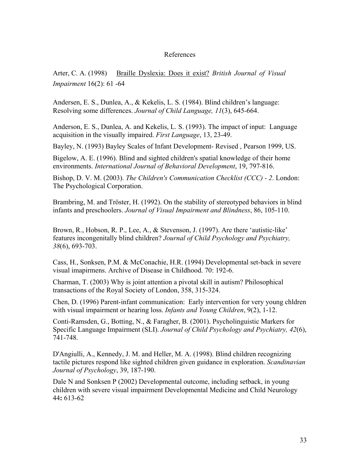## References

Arter, C. A. (1998) Braille Dyslexia: Does it exist? *British Journal of Visual Impairment* 16(2): 61 -64

Andersen, E. S., Dunlea, A., & Kekelis, L. S. (1984). Blind children's language: Resolving some differences. *Journal of Child Language, 11*(3), 645-664.

Anderson, E. S., Dunlea, A. and Kekelis, L. S. (1993). The impact of input: Language acquisition in the visually impaired. *First Language*, 13, 23-49.

Bayley, N. (1993) Bayley Scales of Infant Development- Revised , Pearson 1999, US.

Bigelow, A. E. (1996). Blind and sighted children's spatial knowledge of their home environments. *International Journal of Behavioral Development*, 19, 797-816.

Bishop, D. V. M. (2003). *The Children's Communication Checklist (CCC) - 2*. London: The Psychological Corporation.

Brambring, M. and Tröster, H. (1992). On the stability of stereotyped behaviors in blind infants and preschoolers. *Journal of Visual Impairment and Blindness*, 86, 105-110.

Brown, R., Hobson, R. P., Lee, A., & Stevenson, J. (1997). Are there 'autistic-like' features incongenitally blind children? *Journal of Child Psychology and Psychiatry, 38*(6), 693-703.

Cass, H., Sonksen, P.M. & McConachie, H.R. (1994) Developmental set-back in severe visual imapirmens. Archive of Disease in Childhood. 70: 192-6.

Charman, T. (2003) Why is joint attention a pivotal skill in autism? Philosophical transactions of the Royal Society of London, 358, 315-324.

Chen, D. (1996) Parent-infant communication: Early intervention for very young chldren with visual impairment or hearing loss. *Infants and Young Children*, 9(2), 1-12.

Conti-Ramsden, G., Botting, N., & Faragher, B. (2001). Psycholinguistic Markers for Specific Language Impairment (SLI). *Journal of Child Psychology and Psychiatry, 42*(6), 741-748.

D'Angiulli, A., Kennedy, J. M. and Heller, M. A. (1998). Blind children recognizing tactile pictures respond like sighted children given guidance in exploration. *Scandinavian Journal of Psychology*, 39, 187-190.

Dale N and Sonksen P (2002) Developmental outcome, including setback, in young children with severe visual impairment Developmental Medicine and Child Neurology 44**:** 613-62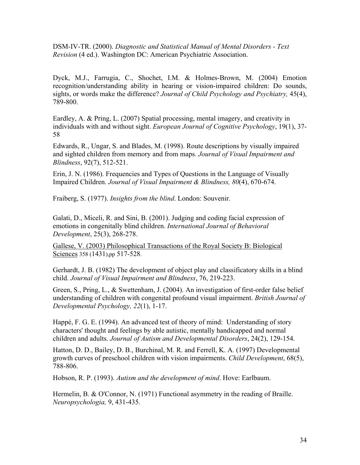DSM-IV-TR. (2000). *Diagnostic and Statistical Manual of Mental Disorders - Text Revision* (4 ed.). Washington DC: American Psychiatric Association.

Dyck, M.J., Farrugia, C., Shochet, I.M. & Holmes-Brown, M. (2004) Emotion recognition/understanding ability in hearing or vision-impaired children: Do sounds, sights, or words make the difference? *Journal of Child Psychology and Psychiatry,* 45(4), 789-800.

Eardley, A. & Pring, L. (2007) Spatial processing, mental imagery, and creativity in individuals with and without sight. *European Journal of Cognitive Psychology*, 19(1), 37- 58

Edwards, R., Ungar, S. and Blades, M. (1998). Route descriptions by visually impaired and sighted children from memory and from maps. *Journal of Visual Impairment and Blindness*, 92(7), 512-521.

Erin, J. N. (1986). Frequencies and Types of Questions in the Language of Visually Impaired Children. *Journal of Visual Impairment & Blindness, 80*(4), 670-674.

Fraiberg, S. (1977). *Insights from the blind*. London: Souvenir.

Galati, D., Miceli, R. and Sini, B. (2001). Judging and coding facial expression of emotions in congenitally blind children. *International Journal of Behavioral Development*, 25(3), 268-278.

Gallese, V. (2003) Philosophical Transactions of the Royal Society B: Biological Sciences 358 (1431),pp 517-528.

Gerhardt, J. B. (1982) The development of object play and classificatory skills in a blind child. *Journal of Visual Impairment and Blindness*, 76, 219-223.

Green, S., Pring, L., & Swettenham, J. (2004). An investigation of first-order false belief understanding of children with congenital profound visual impairment. *British Journal of Developmental Psychology, 22*(1), 1-17.

Happé, F. G. E. (1994). An advanced test of theory of mind: Understanding of story characters' thought and feelings by able autistic, mentally handicapped and normal children and adults. *Journal of Autism and Developmental Disorders*, 24(2), 129-154.

Hatton, D. D., Bailey, D. B., Burchinal, M. R. and Ferrell, K. A. (1997) Developmental growth curves of preschool children with vision impairments. *Child Development*, 68(5), 788-806.

Hobson, R. P. (1993). *Autism and the development of mind*. Hove: Earlbaum.

Hermelin, B. & O'Connor, N. (1971) Functional asymmetry in the reading of Braille. *Neuropsychologia,* 9, 431-435.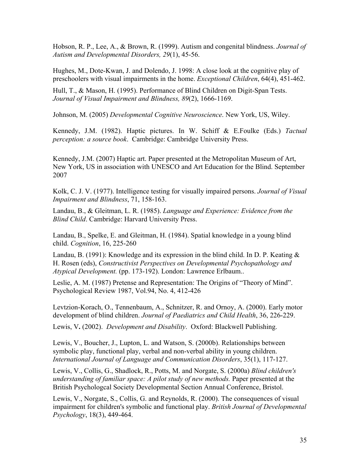Hobson, R. P., Lee, A., & Brown, R. (1999). Autism and congenital blindness. *Journal of Autism and Developmental Disorders, 29*(1), 45-56.

Hughes, M., Dote-Kwan, J. and Dolendo, J. 1998: A close look at the cognitive play of preschoolers with visual impairments in the home. *Exceptional Children*, 64(4), 451-462.

Hull, T., & Mason, H. (1995). Performance of Blind Children on Digit-Span Tests. *Journal of Visual Impairment and Blindness, 89*(2), 1666-1169.

Johnson, M. (2005) *Developmental Cognitive Neuroscience*. New York, US, Wiley.

Kennedy, J.M. (1982). Haptic pictures. In W. Schiff & E.Foulke (Eds.) *Tactual perception: a source book*. Cambridge: Cambridge University Press.

Kennedy, J.M. (2007) Haptic art. Paper presented at the Metropolitan Museum of Art, New York, US in association with UNESCO and Art Education for the Blind. September 2007

Kolk, C. J. V. (1977). Intelligence testing for visually impaired persons. *Journal of Visual Impairment and Blindness*, 71, 158-163.

Landau, B., & Gleitman, L. R. (1985). *Language and Experience: Evidence from the Blind Child*. Cambridge: Harvard University Press.

Landau, B., Spelke, E. and Gleitman, H. (1984). Spatial knowledge in a young blind child. *Cognition*, 16, 225-260

Landau, B. (1991): Knowledge and its expression in the blind child. In D. P. Keating  $\&$ H. Rosen (eds), *Constructivist Perspectives on Developmental Psychopathology and Atypical Development.* (pp. 173-192). London: Lawrence Erlbaum..

Leslie, A. M. (1987) Pretense and Representation: The Origins of "Theory of Mind". Psychological Review 1987, Vol.94, No. 4, 412-426

Levtzion-Korach, O., Tennenbaum, A., Schnitzer, R. and Ornoy, A. (2000). Early motor development of blind children. *Journal of Paediatrics and Child Health*, 36, 226-229.

Lewis, V**.** (2002). *Development and Disability*. Oxford: Blackwell Publishing.

Lewis, V., Boucher, J., Lupton, L. and Watson, S. (2000b). Relationships between symbolic play, functional play, verbal and non-verbal ability in young children. *International Journal of Language and Communication Disorders*, 35(1), 117-127.

Lewis, V., Collis, G., Shadlock, R., Potts, M. and Norgate, S. (2000a) *Blind children's understanding of familiar space: A pilot study of new methods.* Paper presented at the British Psychologcal Society Developmental Section Annual Conference, Bristol.

Lewis, V., Norgate, S., Collis, G. and Reynolds, R. (2000). The consequences of visual impairment for children's symbolic and functional play. *British Journal of Developmental Psychology*, 18(3), 449-464.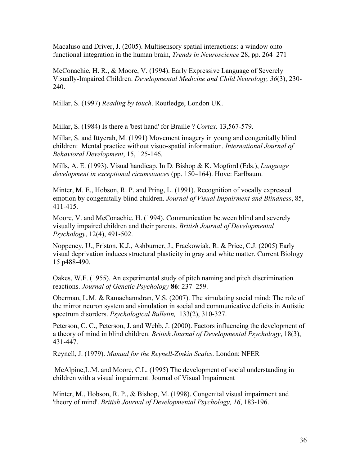Macaluso and Driver, J. (2005). Multisensory spatial interactions: a window onto functional integration in the human brain, *Trends in Neuroscience* 28, pp. 264–271

McConachie, H. R., & Moore, V. (1994). Early Expressive Language of Severely Visually-Impaired Children. *Developmental Medicine and Child Neurology, 36*(3), 230- 240.

Millar, S. (1997) *Reading by touch*. Routledge, London UK.

Millar, S. (1984) Is there a 'best hand' for Braille ? *Cortex,* 13,567-579.

Millar, S. and Ittyerah, M. (1991) Movement imagery in young and congenitally blind children: Mental practice without visuo-spatial information. *International Journal of Behavioral Development*, 15, 125-146.

Mills, A. E. (1993). Visual handicap. In D. Bishop & K. Mogford (Eds.), *Language development in exceptional cicumstances* (pp. 150–164). Hove: Earlbaum.

Minter, M. E., Hobson, R. P. and Pring, L. (1991). Recognition of vocally expressed emotion by congenitally blind children. *Journal of Visual Impairment and Blindness*, 85, 411-415.

Moore, V. and McConachie, H. (1994). Communication between blind and severely visually impaired children and their parents. *British Journal of Developmental Psychology*, 12(4), 491-502.

Noppeney, U., Friston, K.J., Ashburner, J., Frackowiak, R. & Price, C.J. (2005) Early visual deprivation induces structural plasticity in gray and white matter. Current Biology 15 p488-490.

Oakes, W.F. (1955). An experimental study of pitch naming and pitch discrimination reactions. *Journal of Genetic Psychology* **86**: 237–259.

Oberman, L.M. & Ramachanndran, V.S. (2007). The simulating social mind: The role of the mirror neuron system and simulation in social and communicative deficits in Autistic spectrum disorders. *Psychological Bulletin,* 133(2), 310-327.

Peterson, C. C., Peterson, J. and Webb, J. (2000). Factors influencing the development of a theory of mind in blind children. *British Journal of Developmental Psychology*, 18(3), 431-447.

Reynell, J. (1979). *Manual for the Reynell-Zinkin Scales*. London: NFER

 McAlpine,L.M. and Moore, C.L. (1995) The development of social understanding in children with a visual impairment. Journal of Visual Impairment

Minter, M., Hobson, R. P., & Bishop, M. (1998). Congenital visual impairment and 'theory of mind'. *British Journal of Developmental Psychology, 16*, 183-196.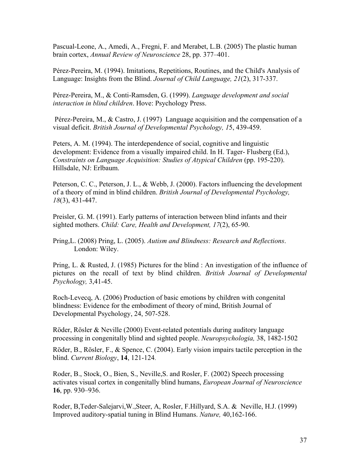Pascual-Leone, A., Amedi, A., Fregni, F. and Merabet, L.B. (2005) The plastic human brain cortex, *Annual Review of Neuroscience* 28, pp. 377–401.

Pérez-Pereira, M. (1994). Imitations, Repetitions, Routines, and the Child's Analysis of Language: Insights from the Blind. *Journal of Child Language, 21*(2), 317-337.

Pérez-Pereira, M., & Conti-Ramsden, G. (1999). *Language development and social interaction in blind children*. Hove: Psychology Press.

 Pérez-Pereira, M., & Castro, J. (1997) Language acquisition and the compensation of a visual deficit. *British Journal of Developmental Psychology, 1*5, 439-459.

Peters, A. M. (1994). The interdependence of social, cognitive and linguistic development: Evidence from a visually impaired child. In H. Tager- Flusberg (Ed.), *Constraints on Language Acquisition: Studies of Atypical Children* (pp. 195-220). Hillsdale, NJ: Erlbaum.

Peterson, C. C., Peterson, J. L., & Webb, J. (2000). Factors influencing the development of a theory of mind in blind children. *British Journal of Developmental Psychology, 18*(3), 431-447.

Preisler, G. M. (1991). Early patterns of interaction between blind infants and their sighted mothers. *Child: Care, Health and Development, 17*(2), 65-90.

Pring,L. (2008) Pring, L. (2005). *Autism and Blindness: Research and Reflections*. London: Wiley.

Pring, L. & Rusted, J. (1985) Pictures for the blind : An investigation of the influence of pictures on the recall of text by blind children. *British Journal of Developmental Psychology,* 3,41-45.

Roch-Levecq, A. (2006) Production of basic emotions by children with congenital blindness: Evidence for the embodiment of theory of mind, British Journal of Developmental Psychology, 24, 507-528.

Röder, Rösler & Neville (2000) Event-related potentials during auditory language processing in congenitally blind and sighted people. *Neuropsychologia,* 38, 1482-1502

Röder, B., Rösler, F., & Spence, C. (2004). Early vision impairs tactile perception in the blind. *Current Biology*, **14**, 121-124.

Roder, B., Stock, O., Bien, S., Neville,S. and Rosler, F. (2002) Speech processing activates visual cortex in congenitally blind humans, *European Journal of Neuroscience* **16**, pp. 930–936.

Roder, B,Teder-Salejarvi,W.,Steer, A, Rosler, F.Hillyard, S.A. & Neville, H.J. (1999) Improved auditory-spatial tuning in Blind Humans. *Nature,* 40,162-166.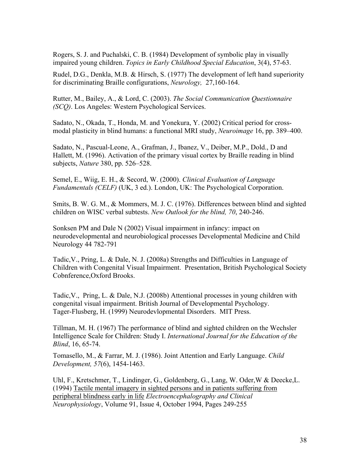Rogers, S. J. and Puchalski, C. B. (1984) Development of symbolic play in visually impaired young children. *Topics in Early Childhood Special Education*, 3(4), 57-63.

Rudel, D.G., Denkla, M.B. & Hirsch, S. (1977) The development of left hand superiority for discriminating Braille configurations, *Neurology,* 27,160-164.

Rutter, M., Bailey, A., & Lord, C. (2003). *The Social Communication Questionnaire (SCQ)*. Los Angeles: Western Psychological Services.

Sadato, N., Okada, T., Honda, M. and Yonekura, Y. (2002) Critical period for crossmodal plasticity in blind humans: a functional MRI study, *Neuroimage* 16, pp. 389–400.

Sadato, N., Pascual-Leone, A., Grafman, J., Ibanez, V., Deiber, M.P., Dold., D and Hallett, M. (1996). Activation of the primary visual cortex by Braille reading in blind subjects, *Nature* 380, pp. 526–528.

Semel, E., Wiig, E. H., & Secord, W. (2000). *Clinical Evaluation of Language Fundamentals (CELF)* (UK, 3 ed.). London, UK: The Psychological Corporation.

Smits, B. W. G. M., & Mommers, M. J. C. (1976). Differences between blind and sighted children on WISC verbal subtests. *New Outlook for the blind, 70*, 240-246.

Sonksen PM and Dale N (2002) Visual impairment in infancy: impact on neurodevelopmental and neurobiological processes Developmental Medicine and Child Neurology 44 782-791

Tadic,V., Pring, L. & Dale, N. J. (2008a) Strengths and Difficulties in Language of Children with Congenital Visual Impairment. Presentation, British Psychological Society Cobnference,Oxford Brooks.

Tadic,V., Pring, L. & Dale, N.J. (2008b) Attentional processes in young children with congenital visual impairment. British Journal of Developmental Psychology. Tager-Flusberg, H. (1999) Neurodevlopmental Disorders. MIT Press.

Tillman, M. H. (1967) The performance of blind and sighted children on the Wechsler Intelligence Scale for Children: Study I. *International Journal for the Education of the Blind*, 16, 65-74.

Tomasello, M., & Farrar, M. J. (1986). Joint Attention and Early Language. *Child Development, 57*(6), 1454-1463.

Uhl, F., Kretschmer, T., Lindinger, G., Goldenberg, G., Lang, W. Oder,W & Deecke,L. (1994) Tactile [mental imagery in sighted persons and in patients suffering from](http://www.sciencedirect.com/science?_ob=ArticleURL&_udi=B6SYX-498MGW0-9&_user=10&_coverDate=10%2F31%2F1994&_alid=823251850&_rdoc=1&_fmt=high&_orig=search&_cdi=4846&_sort=d&_docanchor=&view=c&_ct=2&_acct=C000050221&_version=1&_urlVersion=0&_userid=10&md5=201ed03d402bfa4f19a9b0eb812e9396) [peripheral blindness early in life](http://www.sciencedirect.com/science?_ob=ArticleURL&_udi=B6SYX-498MGW0-9&_user=10&_coverDate=10%2F31%2F1994&_alid=823251850&_rdoc=1&_fmt=high&_orig=search&_cdi=4846&_sort=d&_docanchor=&view=c&_ct=2&_acct=C000050221&_version=1&_urlVersion=0&_userid=10&md5=201ed03d402bfa4f19a9b0eb812e9396) *Electroencephalography and Clinical Neurophysiology*, Volume 91, Issue 4, October 1994, Pages 249-255